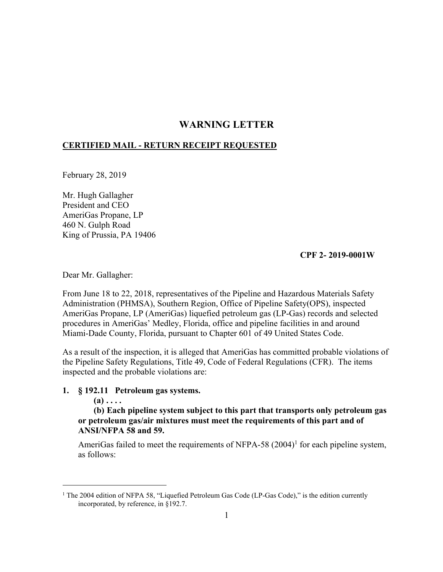# **WARNING LETTER**

## **CERTIFIED MAIL - RETURN RECEIPT REQUESTED**

February 28, 2019

Mr. Hugh Gallagher President and CEO AmeriGas Propane, LP 460 N. Gulph Road King of Prussia, PA 19406

## **CPF 2- 2019-0001W**

Dear Mr. Gallagher:

From June 18 to 22, 2018, representatives of the Pipeline and Hazardous Materials Safety Administration (PHMSA), Southern Region, Office of Pipeline Safety(OPS), inspected AmeriGas Propane, LP (AmeriGas) liquefied petroleum gas (LP-Gas) records and selected procedures in AmeriGas' Medley, Florida, office and pipeline facilities in and around Miami-Dade County, Florida, pursuant to Chapter 601 of 49 United States Code.

As a result of the inspection, it is alleged that AmeriGas has committed probable violations of the Pipeline Safety Regulations, Title 49, Code of Federal Regulations (CFR). The items inspected and the probable violations are:

### **1. § 192.11 Petroleum gas systems.**

 $(a)$   $\dots$ 

 $\overline{a}$ 

**(b) Each pipeline system subject to this part that transports only petroleum gas or petroleum gas/air mixtures must meet the requirements of this part and of ANSI/NFPA 58 and 59.** 

AmeriGas failed to meet the requirements of NFPA-58  $(2004)^{1}$  for each pipeline system, as follows:

<sup>&</sup>lt;sup>1</sup> The 2004 edition of NFPA 58, "Liquefied Petroleum Gas Code (LP-Gas Code)," is the edition currently incorporated, by reference, in §192.7.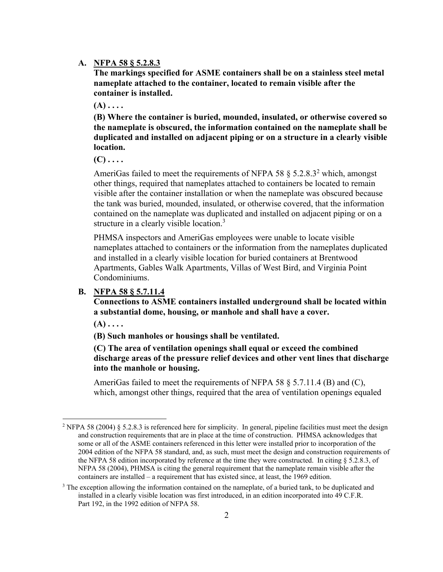### **A. NFPA 58 § 5.2.8.3**

**The markings specified for ASME containers shall be on a stainless steel metal nameplate attached to the container, located to remain visible after the container is installed.**

**(A) . . . .** 

**(B) Where the container is buried, mounded, insulated, or otherwise covered so the nameplate is obscured, the information contained on the nameplate shall be duplicated and installed on adjacent piping or on a structure in a clearly visible location.** 

**(C) . . . .**

AmeriGas failed to meet the requirements of NFPA 58  $\S$  5.2.8.3<sup>2</sup> which, amongst other things, required that nameplates attached to containers be located to remain visible after the container installation or when the nameplate was obscured because the tank was buried, mounded, insulated, or otherwise covered, that the information contained on the nameplate was duplicated and installed on adjacent piping or on a structure in a clearly visible location.<sup>3</sup>

 nameplates attached to containers or the information from the nameplates duplicated PHMSA inspectors and AmeriGas employees were unable to locate visible and installed in a clearly visible location for buried containers at Brentwood Apartments, Gables Walk Apartments, Villas of West Bird, and Virginia Point Condominiums.

## **B. NFPA 58 § 5.7.11.4**

**Connections to ASME containers installed underground shall be located within a substantial dome, housing, or manhole and shall have a cover.**

**(A) . . . .** 

 $\overline{a}$ 

**(B) Such manholes or housings shall be ventilated.** 

**(C) The area of ventilation openings shall equal or exceed the combined discharge areas of the pressure relief devices and other vent lines that discharge into the manhole or housing.** 

AmeriGas failed to meet the requirements of NFPA 58 § 5.7.11.4 (B) and (C), which, amongst other things, required that the area of ventilation openings equaled

 and construction requirements that are in place at the time of construction. PHMSA acknowledges that the NFPA 58 edition incorporated by reference at the time they were constructed. In citing § 5.2.8.3, of NFPA 58 (2004), PHMSA is citing the general requirement that the nameplate remain visible after the containers are installed – a requirement that has existed since, at least, the 1969 edition. <sup>2</sup> NFPA 58 (2004) § 5.2.8.3 is referenced here for simplicity. In general, pipeline facilities must meet the design some or all of the ASME containers referenced in this letter were installed prior to incorporation of the 2004 edition of the NFPA 58 standard, and, as such, must meet the design and construction requirements of

 installed in a clearly visible location was first introduced, in an edition incorporated into 49 C.F.R. <sup>3</sup> The exception allowing the information contained on the nameplate, of a buried tank, to be duplicated and Part 192, in the 1992 edition of NFPA 58.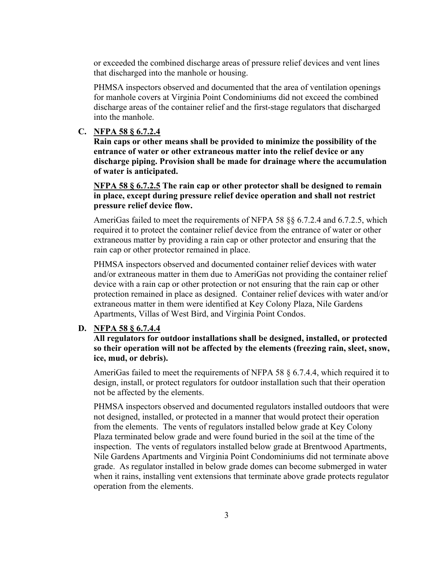or exceeded the combined discharge areas of pressure relief devices and vent lines that discharged into the manhole or housing.

PHMSA inspectors observed and documented that the area of ventilation openings for manhole covers at Virginia Point Condominiums did not exceed the combined discharge areas of the container relief and the first-stage regulators that discharged into the manhole.

**C. NFPA 58 § 6.7.2.4** 

**Rain caps or other means shall be provided to minimize the possibility of the entrance of water or other extraneous matter into the relief device or any discharge piping. Provision shall be made for drainage where the accumulation of water is anticipated.**

**NFPA 58 § 6.7.2.5 The rain cap or other protector shall be designed to remain in place, except during pressure relief device operation and shall not restrict pressure relief device flow.** 

AmeriGas failed to meet the requirements of NFPA 58 §§ 6.7.2.4 and 6.7.2.5, which required it to protect the container relief device from the entrance of water or other extraneous matter by providing a rain cap or other protector and ensuring that the rain cap or other protector remained in place.

PHMSA inspectors observed and documented container relief devices with water and/or extraneous matter in them due to AmeriGas not providing the container relief device with a rain cap or other protection or not ensuring that the rain cap or other protection remained in place as designed. Container relief devices with water and/or extraneous matter in them were identified at Key Colony Plaza, Nile Gardens Apartments, Villas of West Bird, and Virginia Point Condos.

#### **D. NFPA 58 § 6.7.4.4**

 **All regulators for outdoor installations shall be designed, installed, or protected so their operation will not be affected by the elements (freezing rain, sleet, snow, ice, mud, or debris).**

AmeriGas failed to meet the requirements of NFPA 58 § 6.7.4.4, which required it to design, install, or protect regulators for outdoor installation such that their operation not be affected by the elements.

PHMSA inspectors observed and documented regulators installed outdoors that were not designed, installed, or protected in a manner that would protect their operation from the elements. The vents of regulators installed below grade at Key Colony Plaza terminated below grade and were found buried in the soil at the time of the inspection. The vents of regulators installed below grade at Brentwood Apartments, Nile Gardens Apartments and Virginia Point Condominiums did not terminate above grade. As regulator installed in below grade domes can become submerged in water when it rains, installing vent extensions that terminate above grade protects regulator operation from the elements.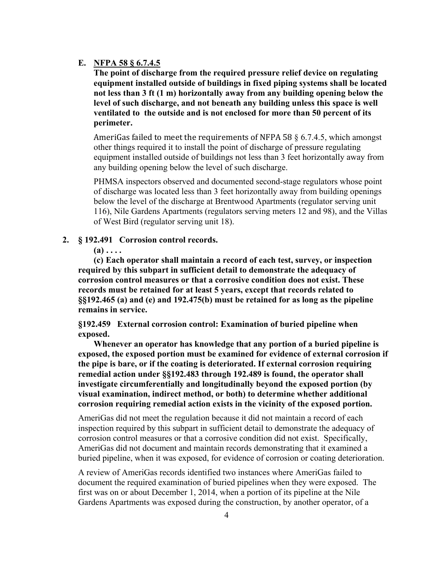## **E. NFPA 58 § 6.7.4.5**

**The point of discharge from the required pressure relief device on regulating equipment installed outside of buildings in fixed piping systems shall be located not less than 3 ft (1 m) horizontally away from any building opening below the level of such discharge, and not beneath any building unless this space is well ventilated to the outside and is not enclosed for more than 50 percent of its perimeter.**

AmeriGas failed to meet the requirements of NFPA 58  $\S$  6.7.4.5, which amongst other things required it to install the point of discharge of pressure regulating equipment installed outside of buildings not less than 3 feet horizontally away from any building opening below the level of such discharge.

PHMSA inspectors observed and documented second-stage regulators whose point of discharge was located less than 3 feet horizontally away from building openings below the level of the discharge at Brentwood Apartments (regulator serving unit 116), Nile Gardens Apartments (regulators serving meters 12 and 98), and the Villas of West Bird (regulator serving unit 18).

## **2. § 192.491 Corrosion control records.**

 $(a)$   $\dots$ 

**(c) Each operator shall maintain a record of each test, survey, or inspection required by this subpart in sufficient detail to demonstrate the adequacy of corrosion control measures or that a corrosive condition does not exist. These records must be retained for at least 5 years, except that records related to §§192.465 (a) and (e) and 192.475(b) must be retained for as long as the pipeline remains in service.**

**§192.459 External corrosion control: Examination of buried pipeline when exposed.** 

**Whenever an operator has knowledge that any portion of a buried pipeline is exposed, the exposed portion must be examined for evidence of external corrosion if the pipe is bare, or if the coating is deteriorated. If external corrosion requiring remedial action under §§192.483 through 192.489 is found, the operator shall investigate circumferentially and longitudinally beyond the exposed portion (by visual examination, indirect method, or both) to determine whether additional corrosion requiring remedial action exists in the vicinity of the exposed portion.** 

AmeriGas did not meet the regulation because it did not maintain a record of each inspection required by this subpart in sufficient detail to demonstrate the adequacy of corrosion control measures or that a corrosive condition did not exist. Specifically, AmeriGas did not document and maintain records demonstrating that it examined a buried pipeline, when it was exposed, for evidence of corrosion or coating deterioration.

A review of AmeriGas records identified two instances where AmeriGas failed to document the required examination of buried pipelines when they were exposed. The first was on or about December 1, 2014, when a portion of its pipeline at the Nile Gardens Apartments was exposed during the construction, by another operator, of a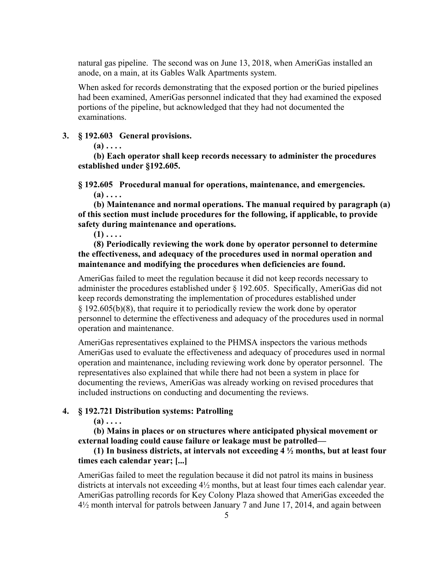natural gas pipeline. The second was on June 13, 2018, when AmeriGas installed an anode, on a main, at its Gables Walk Apartments system.

When asked for records demonstrating that the exposed portion or the buried pipelines had been examined, AmeriGas personnel indicated that they had examined the exposed portions of the pipeline, but acknowledged that they had not documented the examinations.

### **3. § 192.603 General provisions.**

 $(a) \ldots$ 

**(b) Each operator shall keep records necessary to administer the procedures established under §192.605.** 

**§ 192.605 Procedural manual for operations, maintenance, and emergencies.**

 $(a)$ ....

**(b) Maintenance and normal operations. The manual required by paragraph (a) of this section must include procedures for the following, if applicable, to provide safety during maintenance and operations.** 

 $(1)$   $\dots$ 

**(8) Periodically reviewing the work done by operator personnel to determine the effectiveness, and adequacy of the procedures used in normal operation and maintenance and modifying the procedures when deficiencies are found.**

AmeriGas failed to meet the regulation because it did not keep records necessary to administer the procedures established under § 192.605. Specifically, AmeriGas did not keep records demonstrating the implementation of procedures established under § 192.605(b)(8), that require it to periodically review the work done by operator personnel to determine the effectiveness and adequacy of the procedures used in normal operation and maintenance.

AmeriGas representatives explained to the PHMSA inspectors the various methods AmeriGas used to evaluate the effectiveness and adequacy of procedures used in normal operation and maintenance, including reviewing work done by operator personnel. The representatives also explained that while there had not been a system in place for documenting the reviews, AmeriGas was already working on revised procedures that included instructions on conducting and documenting the reviews.

### **4. § 192.721 Distribution systems: Patrolling**

 $(a) \ldots$ 

**(b) Mains in places or on structures where anticipated physical movement or external loading could cause failure or leakage must be patrolled—**

## **(1) In business districts, at intervals not exceeding 4 ½ months, but at least four times each calendar year; [...]**

AmeriGas failed to meet the regulation because it did not patrol its mains in business districts at intervals not exceeding 4½ months, but at least four times each calendar year. AmeriGas patrolling records for Key Colony Plaza showed that AmeriGas exceeded the 4½ month interval for patrols between January 7 and June 17, 2014, and again between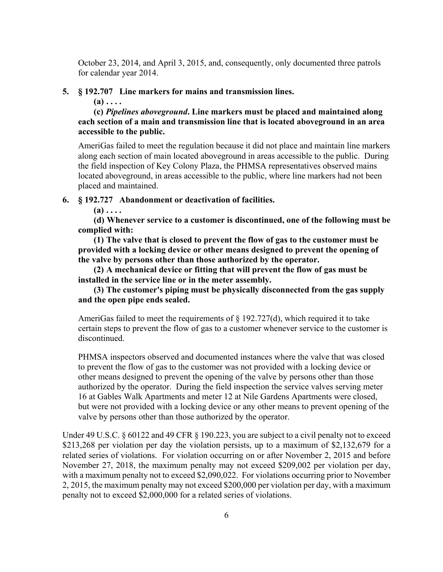October 23, 2014, and April 3, 2015, and, consequently, only documented three patrols for calendar year 2014.

#### **5. § 192.707 Line markers for mains and transmission lines.**

 $(a) \ldots$ 

**(c)** *Pipelines aboveground***. Line markers must be placed and maintained along each section of a main and transmission line that is located aboveground in an area accessible to the public.** 

AmeriGas failed to meet the regulation because it did not place and maintain line markers along each section of main located aboveground in areas accessible to the public. During the field inspection of Key Colony Plaza, the PHMSA representatives observed mains located aboveground, in areas accessible to the public, where line markers had not been placed and maintained.

**6. § 192.727 Abandonment or deactivation of facilities.** 

 $(a) \ldots$ 

**(d) Whenever service to a customer is discontinued, one of the following must be complied with:** 

**(1) The valve that is closed to prevent the flow of gas to the customer must be provided with a locking device or other means designed to prevent the opening of the valve by persons other than those authorized by the operator.**

**(2) A mechanical device or fitting that will prevent the flow of gas must be installed in the service line or in the meter assembly.** 

**(3) The customer's piping must be physically disconnected from the gas supply and the open pipe ends sealed.** 

 certain steps to prevent the flow of gas to a customer whenever service to the customer is AmeriGas failed to meet the requirements of  $\S$  192.727(d), which required it to take discontinued.

PHMSA inspectors observed and documented instances where the valve that was closed to prevent the flow of gas to the customer was not provided with a locking device or other means designed to prevent the opening of the valve by persons other than those authorized by the operator. During the field inspection the service valves serving meter 16 at Gables Walk Apartments and meter 12 at Nile Gardens Apartments were closed, but were not provided with a locking device or any other means to prevent opening of the valve by persons other than those authorized by the operator.

 with a maximum penalty not to exceed \$2,090,022. For violations occurring prior to November Under 49 U.S.C. § 60122 and 49 CFR § 190.223, you are subject to a civil penalty not to exceed \$213,268 per violation per day the violation persists, up to a maximum of \$2,132,679 for a related series of violations. For violation occurring on or after November 2, 2015 and before November 27, 2018, the maximum penalty may not exceed \$209,002 per violation per day, 2, 2015, the maximum penalty may not exceed \$200,000 per violation per day, with a maximum penalty not to exceed \$2,000,000 for a related series of violations.